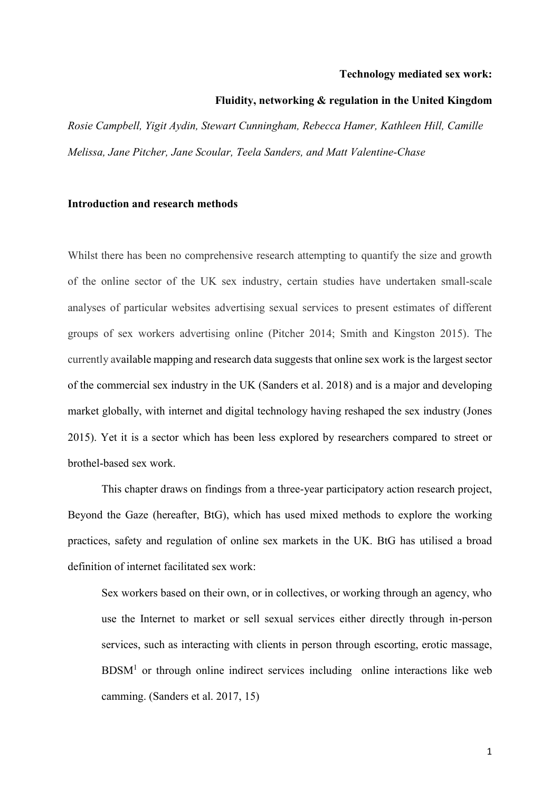#### **Technology mediated sex work:**

### **Fluidity, networking & regulation in the United Kingdom**

*Rosie Campbell, Yigit Aydin, Stewart Cunningham, Rebecca Hamer, Kathleen Hill, Camille Melissa, Jane Pitcher, Jane Scoular, Teela Sanders, and Matt Valentine-Chase*

#### **Introduction and research methods**

Whilst there has been no comprehensive research attempting to quantify the size and growth of the online sector of the UK sex industry, certain studies have undertaken small-scale analyses of particular websites advertising sexual services to present estimates of different groups of sex workers advertising online (Pitcher 2014; Smith and Kingston 2015). The currently available mapping and research data suggests that online sex work is the largest sector of the commercial sex industry in the UK (Sanders et al. 2018) and is a major and developing market globally, with internet and digital technology having reshaped the sex industry (Jones 2015). Yet it is a sector which has been less explored by researchers compared to street or brothel-based sex work.

This chapter draws on findings from a three-year participatory action research project, Beyond the Gaze (hereafter, BtG), which has used mixed methods to explore the working practices, safety and regulation of online sex markets in the UK. BtG has utilised a broad definition of internet facilitated sex work:

Sex workers based on their own, or in collectives, or working through an agency, who use the Internet to market or sell sexual services either directly through in-person services, such as interacting with clients in person through escorting, erotic massage,  $BDSM<sup>1</sup>$  or through online indirect services including online interactions like web camming. (Sanders et al. 2017, 15)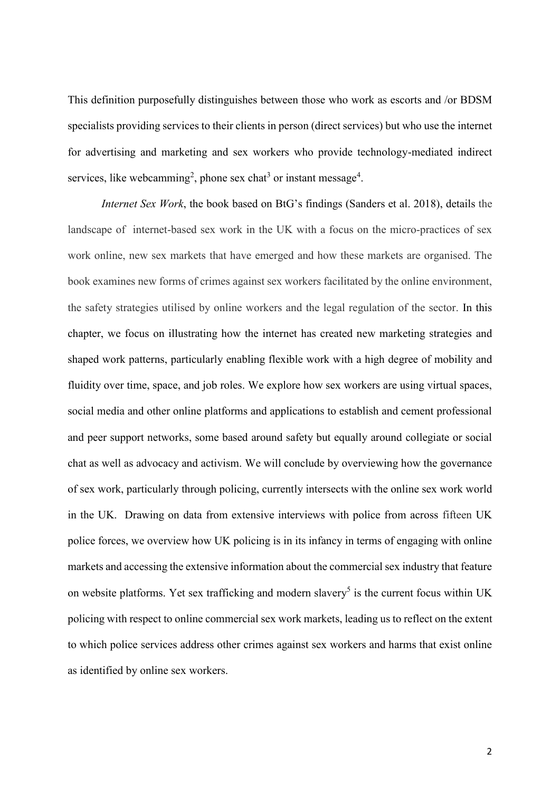This definition purposefully distinguishes between those who work as escorts and /or BDSM specialists providing services to their clients in person (direct services) but who use the internet for advertising and marketing and sex workers who provide technology-mediated indirect services, like webcamming<sup>2</sup>, phone sex chat<sup>3</sup> or instant message<sup>4</sup>.

*Internet Sex Work*, the book based on BtG's findings (Sanders et al. 2018), details the landscape of internet-based sex work in the UK with a focus on the micro-practices of sex work online, new sex markets that have emerged and how these markets are organised. The book examines new forms of crimes against sex workers facilitated by the online environment, the safety strategies utilised by online workers and the legal regulation of the sector. In this chapter, we focus on illustrating how the internet has created new marketing strategies and shaped work patterns, particularly enabling flexible work with a high degree of mobility and fluidity over time, space, and job roles. We explore how sex workers are using virtual spaces, social media and other online platforms and applications to establish and cement professional and peer support networks, some based around safety but equally around collegiate or social chat as well as advocacy and activism. We will conclude by overviewing how the governance of sex work, particularly through policing, currently intersects with the online sex work world in the UK. Drawing on data from extensive interviews with police from across fifteen UK police forces, we overview how UK policing is in its infancy in terms of engaging with online markets and accessing the extensive information about the commercial sex industry that feature on website platforms. Yet sex trafficking and modern slavery<sup>5</sup> is the current focus within UK policing with respect to online commercial sex work markets, leading us to reflect on the extent to which police services address other crimes against sex workers and harms that exist online as identified by online sex workers.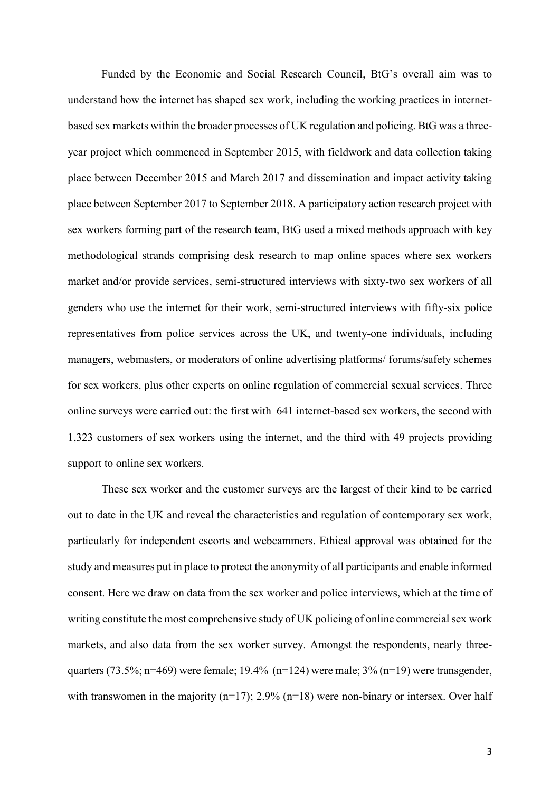Funded by the Economic and Social Research Council, BtG's overall aim was to understand how the internet has shaped sex work, including the working practices in internetbased sex markets within the broader processes of UK regulation and policing. BtG was a threeyear project which commenced in September 2015, with fieldwork and data collection taking place between December 2015 and March 2017 and dissemination and impact activity taking place between September 2017 to September 2018. A participatory action research project with sex workers forming part of the research team, BtG used a mixed methods approach with key methodological strands comprising desk research to map online spaces where sex workers market and/or provide services, semi-structured interviews with sixty-two sex workers of all genders who use the internet for their work, semi-structured interviews with fifty-six police representatives from police services across the UK, and twenty-one individuals, including managers, webmasters, or moderators of online advertising platforms/ forums/safety schemes for sex workers, plus other experts on online regulation of commercial sexual services. Three online surveys were carried out: the first with 641 internet-based sex workers, the second with 1,323 customers of sex workers using the internet, and the third with 49 projects providing support to online sex workers.

These sex worker and the customer surveys are the largest of their kind to be carried out to date in the UK and reveal the characteristics and regulation of contemporary sex work, particularly for independent escorts and webcammers. Ethical approval was obtained for the study and measures put in place to protect the anonymity of all participants and enable informed consent. Here we draw on data from the sex worker and police interviews, which at the time of writing constitute the most comprehensive study of UK policing of online commercial sex work markets, and also data from the sex worker survey. Amongst the respondents, nearly threequarters (73.5%; n=469) were female; 19.4% (n=124) were male; 3% (n=19) were transgender, with transwomen in the majority  $(n=17)$ ; 2.9%  $(n=18)$  were non-binary or intersex. Over half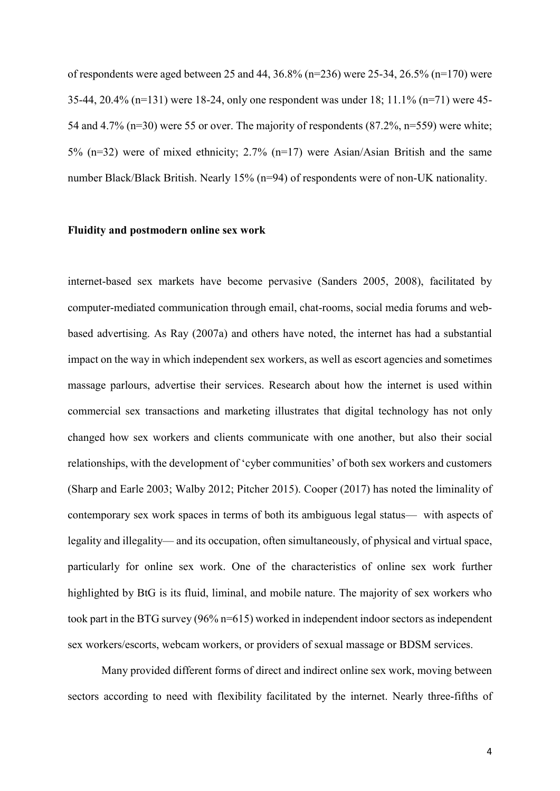of respondents were aged between 25 and 44,  $36.8\%$  (n=236) were 25-34,  $26.5\%$  (n=170) were 35-44, 20.4% (n=131) were 18-24, only one respondent was under 18; 11.1% (n=71) were 45- 54 and 4.7% (n=30) were 55 or over. The majority of respondents (87.2%, n=559) were white; 5% (n=32) were of mixed ethnicity; 2.7% (n=17) were Asian/Asian British and the same number Black/Black British. Nearly 15% (n=94) of respondents were of non-UK nationality.

### **Fluidity and postmodern online sex work**

internet-based sex markets have become pervasive (Sanders 2005, 2008), facilitated by computer-mediated communication through email, chat-rooms, social media forums and webbased advertising. As Ray (2007a) and others have noted, the internet has had a substantial impact on the way in which independent sex workers, as well as escort agencies and sometimes massage parlours, advertise their services. Research about how the internet is used within commercial sex transactions and marketing illustrates that digital technology has not only changed how sex workers and clients communicate with one another, but also their social relationships, with the development of 'cyber communities' of both sex workers and customers (Sharp and Earle 2003; Walby 2012; Pitcher 2015). Cooper (2017) has noted the liminality of contemporary sex work spaces in terms of both its ambiguous legal status— with aspects of legality and illegality— and its occupation, often simultaneously, of physical and virtual space, particularly for online sex work. One of the characteristics of online sex work further highlighted by BtG is its fluid, liminal, and mobile nature. The majority of sex workers who took part in the BTG survey (96% n=615) worked in independent indoor sectors as independent sex workers/escorts, webcam workers, or providers of sexual massage or BDSM services.

Many provided different forms of direct and indirect online sex work, moving between sectors according to need with flexibility facilitated by the internet. Nearly three-fifths of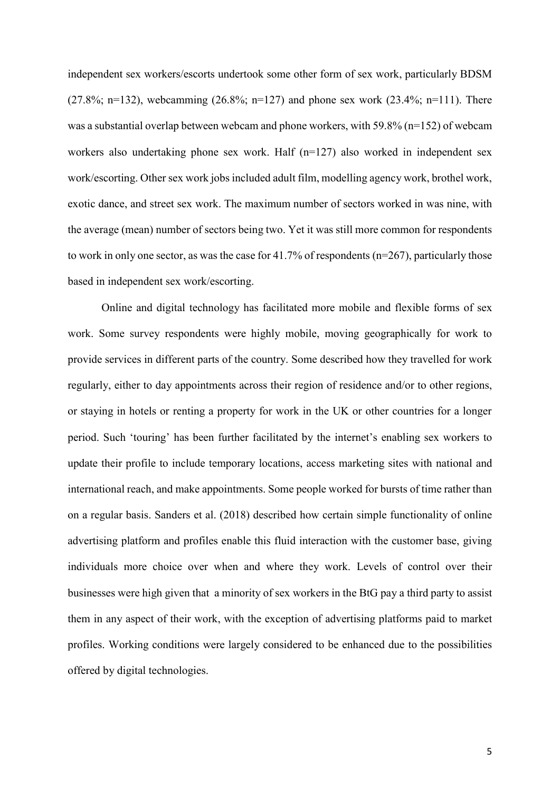independent sex workers/escorts undertook some other form of sex work, particularly BDSM (27.8%; n=132), webcamming (26.8%; n=127) and phone sex work (23.4%; n=111). There was a substantial overlap between webcam and phone workers, with 59.8% (n=152) of webcam workers also undertaking phone sex work. Half (n=127) also worked in independent sex work/escorting. Other sex work jobs included adult film, modelling agency work, brothel work, exotic dance, and street sex work. The maximum number of sectors worked in was nine, with the average (mean) number of sectors being two. Yet it was still more common for respondents to work in only one sector, as was the case for 41.7% of respondents (n=267), particularly those based in independent sex work/escorting.

Online and digital technology has facilitated more mobile and flexible forms of sex work. Some survey respondents were highly mobile, moving geographically for work to provide services in different parts of the country. Some described how they travelled for work regularly, either to day appointments across their region of residence and/or to other regions, or staying in hotels or renting a property for work in the UK or other countries for a longer period. Such 'touring' has been further facilitated by the internet's enabling sex workers to update their profile to include temporary locations, access marketing sites with national and international reach, and make appointments. Some people worked for bursts of time rather than on a regular basis. Sanders et al. (2018) described how certain simple functionality of online advertising platform and profiles enable this fluid interaction with the customer base, giving individuals more choice over when and where they work. Levels of control over their businesses were high given that a minority of sex workers in the BtG pay a third party to assist them in any aspect of their work, with the exception of advertising platforms paid to market profiles. Working conditions were largely considered to be enhanced due to the possibilities offered by digital technologies.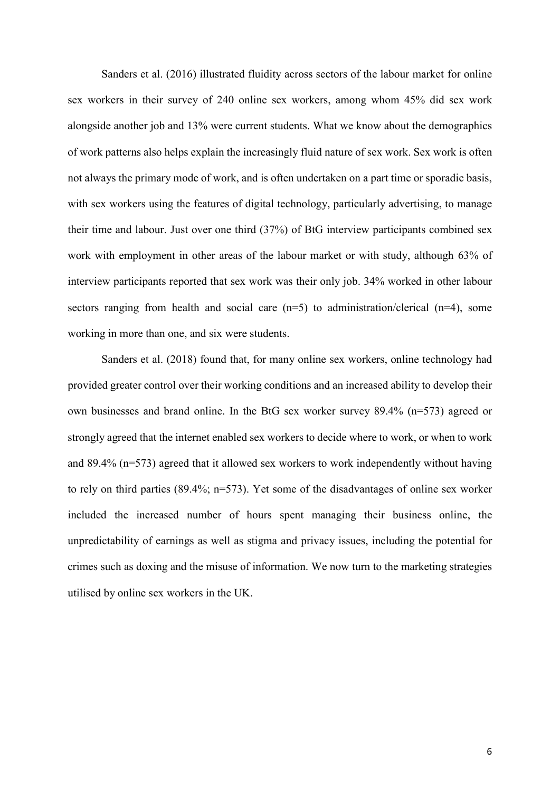Sanders et al. (2016) illustrated fluidity across sectors of the labour market for online sex workers in their survey of 240 online sex workers, among whom 45% did sex work alongside another job and 13% were current students. What we know about the demographics of work patterns also helps explain the increasingly fluid nature of sex work. Sex work is often not always the primary mode of work, and is often undertaken on a part time or sporadic basis, with sex workers using the features of digital technology, particularly advertising, to manage their time and labour. Just over one third (37%) of BtG interview participants combined sex work with employment in other areas of the labour market or with study, although 63% of interview participants reported that sex work was their only job. 34% worked in other labour sectors ranging from health and social care  $(n=5)$  to administration/clerical  $(n=4)$ , some working in more than one, and six were students.

Sanders et al. (2018) found that, for many online sex workers, online technology had provided greater control over their working conditions and an increased ability to develop their own businesses and brand online. In the BtG sex worker survey 89.4% (n=573) agreed or strongly agreed that the internet enabled sex workers to decide where to work, or when to work and 89.4% (n=573) agreed that it allowed sex workers to work independently without having to rely on third parties (89.4%; n=573). Yet some of the disadvantages of online sex worker included the increased number of hours spent managing their business online, the unpredictability of earnings as well as stigma and privacy issues, including the potential for crimes such as doxing and the misuse of information. We now turn to the marketing strategies utilised by online sex workers in the UK.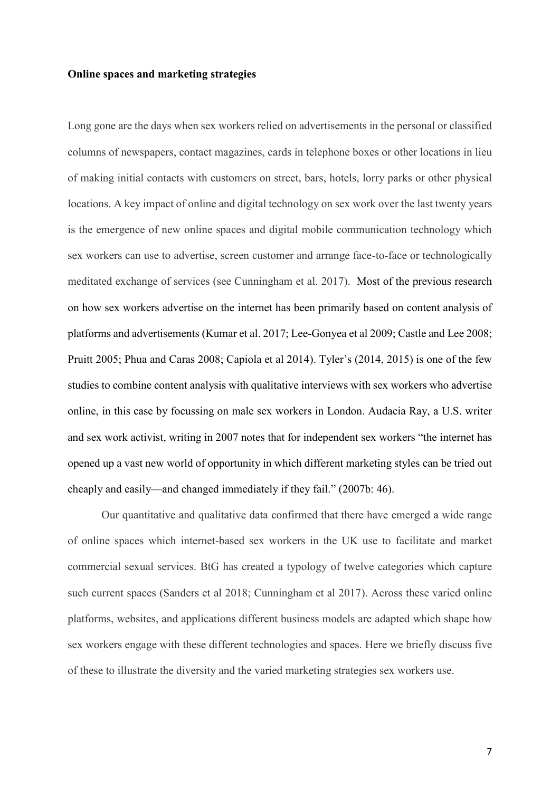## **Online spaces and marketing strategies**

Long gone are the days when sex workers relied on advertisements in the personal or classified columns of newspapers, contact magazines, cards in telephone boxes or other locations in lieu of making initial contacts with customers on street, bars, hotels, lorry parks or other physical locations. A key impact of online and digital technology on sex work over the last twenty years is the emergence of new online spaces and digital mobile communication technology which sex workers can use to advertise, screen customer and arrange face-to-face or technologically meditated exchange of services (see Cunningham et al. 2017). Most of the previous research on how sex workers advertise on the internet has been primarily based on content analysis of platforms and advertisements (Kumar et al. 2017; Lee-Gonyea et al 2009; Castle and Lee 2008; Pruitt 2005; Phua and Caras 2008; Capiola et al 2014). Tyler's (2014, 2015) is one of the few studies to combine content analysis with qualitative interviews with sex workers who advertise online, in this case by focussing on male sex workers in London. Audacia Ray, a U.S. writer and sex work activist, writing in 2007 notes that for independent sex workers "the internet has opened up a vast new world of opportunity in which different marketing styles can be tried out cheaply and easily—and changed immediately if they fail." (2007b: 46).

Our quantitative and qualitative data confirmed that there have emerged a wide range of online spaces which internet-based sex workers in the UK use to facilitate and market commercial sexual services. BtG has created a typology of twelve categories which capture such current spaces (Sanders et al 2018; Cunningham et al 2017). Across these varied online platforms, websites, and applications different business models are adapted which shape how sex workers engage with these different technologies and spaces. Here we briefly discuss five of these to illustrate the diversity and the varied marketing strategies sex workers use.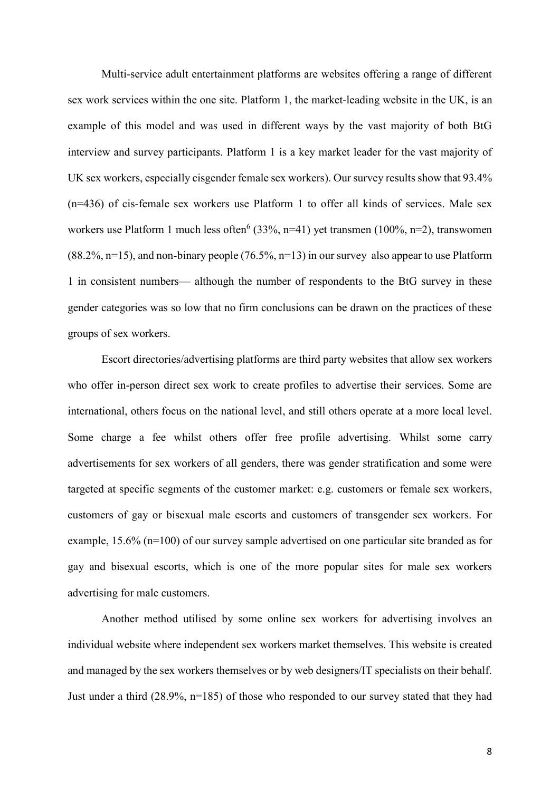Multi-service adult entertainment platforms are websites offering a range of different sex work services within the one site. Platform 1, the market-leading website in the UK, is an example of this model and was used in different ways by the vast majority of both BtG interview and survey participants. Platform 1 is a key market leader for the vast majority of UK sex workers, especially cisgender female sex workers). Our survey results show that 93.4% (n=436) of cis-female sex workers use Platform 1 to offer all kinds of services. Male sex workers use Platform 1 much less often<sup>6</sup> (33%, n=41) yet transmen (100%, n=2), transwomen  $(88.2\%, n=15)$ , and non-binary people  $(76.5\%, n=13)$  in our survey also appear to use Platform 1 in consistent numbers— although the number of respondents to the BtG survey in these gender categories was so low that no firm conclusions can be drawn on the practices of these groups of sex workers.

Escort directories/advertising platforms are third party websites that allow sex workers who offer in-person direct sex work to create profiles to advertise their services. Some are international, others focus on the national level, and still others operate at a more local level. Some charge a fee whilst others offer free profile advertising. Whilst some carry advertisements for sex workers of all genders, there was gender stratification and some were targeted at specific segments of the customer market: e.g. customers or female sex workers, customers of gay or bisexual male escorts and customers of transgender sex workers. For example, 15.6% (n=100) of our survey sample advertised on one particular site branded as for gay and bisexual escorts, which is one of the more popular sites for male sex workers advertising for male customers.

Another method utilised by some online sex workers for advertising involves an individual website where independent sex workers market themselves. This website is created and managed by the sex workers themselves or by web designers/IT specialists on their behalf. Just under a third (28.9%, n=185) of those who responded to our survey stated that they had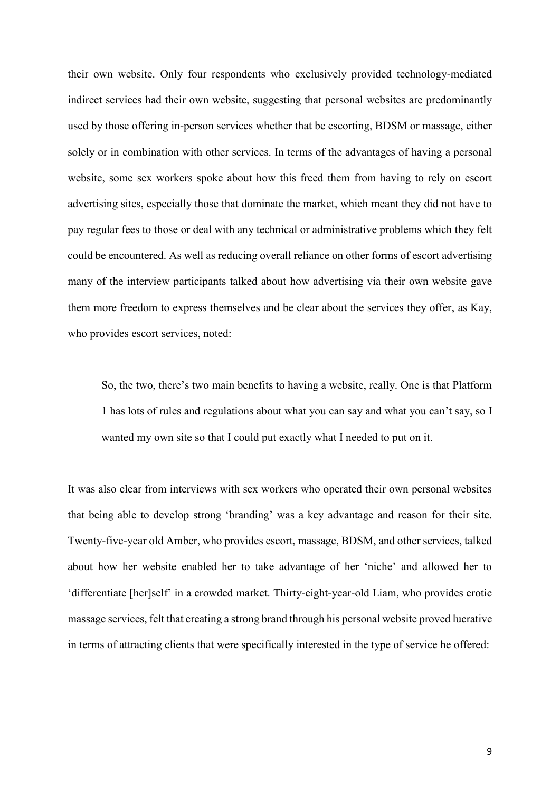their own website. Only four respondents who exclusively provided technology-mediated indirect services had their own website, suggesting that personal websites are predominantly used by those offering in-person services whether that be escorting, BDSM or massage, either solely or in combination with other services. In terms of the advantages of having a personal website, some sex workers spoke about how this freed them from having to rely on escort advertising sites, especially those that dominate the market, which meant they did not have to pay regular fees to those or deal with any technical or administrative problems which they felt could be encountered. As well as reducing overall reliance on other forms of escort advertising many of the interview participants talked about how advertising via their own website gave them more freedom to express themselves and be clear about the services they offer, as Kay, who provides escort services, noted:

So, the two, there's two main benefits to having a website, really. One is that Platform 1 has lots of rules and regulations about what you can say and what you can't say, so I wanted my own site so that I could put exactly what I needed to put on it.

It was also clear from interviews with sex workers who operated their own personal websites that being able to develop strong 'branding' was a key advantage and reason for their site. Twenty-five-year old Amber, who provides escort, massage, BDSM, and other services, talked about how her website enabled her to take advantage of her 'niche' and allowed her to 'differentiate [her]self' in a crowded market. Thirty-eight-year-old Liam, who provides erotic massage services, felt that creating a strong brand through his personal website proved lucrative in terms of attracting clients that were specifically interested in the type of service he offered: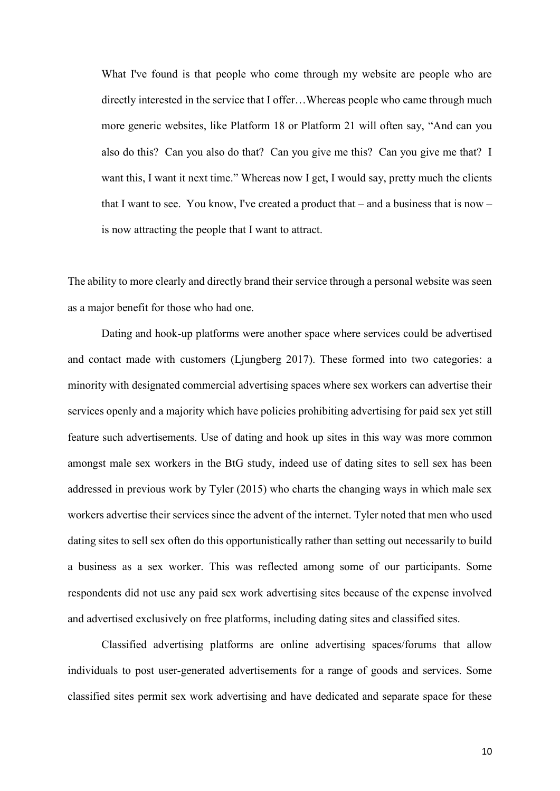What I've found is that people who come through my website are people who are directly interested in the service that I offer…Whereas people who came through much more generic websites, like Platform 18 or Platform 21 will often say, "And can you also do this? Can you also do that? Can you give me this? Can you give me that? I want this, I want it next time." Whereas now I get, I would say, pretty much the clients that I want to see. You know, I've created a product that – and a business that is now – is now attracting the people that I want to attract.

The ability to more clearly and directly brand their service through a personal website was seen as a major benefit for those who had one.

Dating and hook-up platforms were another space where services could be advertised and contact made with customers (Ljungberg 2017). These formed into two categories: a minority with designated commercial advertising spaces where sex workers can advertise their services openly and a majority which have policies prohibiting advertising for paid sex yet still feature such advertisements. Use of dating and hook up sites in this way was more common amongst male sex workers in the BtG study, indeed use of dating sites to sell sex has been addressed in previous work by Tyler (2015) who charts the changing ways in which male sex workers advertise their services since the advent of the internet. Tyler noted that men who used dating sites to sell sex often do this opportunistically rather than setting out necessarily to build a business as a sex worker. This was reflected among some of our participants. Some respondents did not use any paid sex work advertising sites because of the expense involved and advertised exclusively on free platforms, including dating sites and classified sites.

Classified advertising platforms are online advertising spaces/forums that allow individuals to post user-generated advertisements for a range of goods and services. Some classified sites permit sex work advertising and have dedicated and separate space for these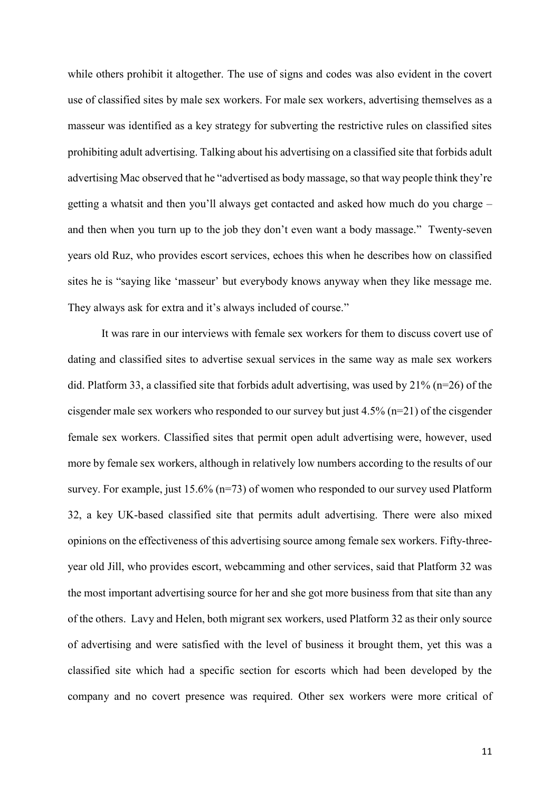while others prohibit it altogether. The use of signs and codes was also evident in the covert use of classified sites by male sex workers. For male sex workers, advertising themselves as a masseur was identified as a key strategy for subverting the restrictive rules on classified sites prohibiting adult advertising. Talking about his advertising on a classified site that forbids adult advertising Mac observed that he "advertised as body massage, so that way people think they're getting a whatsit and then you'll always get contacted and asked how much do you charge – and then when you turn up to the job they don't even want a body massage." Twenty-seven years old Ruz, who provides escort services, echoes this when he describes how on classified sites he is "saying like 'masseur' but everybody knows anyway when they like message me. They always ask for extra and it's always included of course."

It was rare in our interviews with female sex workers for them to discuss covert use of dating and classified sites to advertise sexual services in the same way as male sex workers did. Platform 33, a classified site that forbids adult advertising, was used by 21% (n=26) of the cisgender male sex workers who responded to our survey but just 4.5% (n=21) of the cisgender female sex workers. Classified sites that permit open adult advertising were, however, used more by female sex workers, although in relatively low numbers according to the results of our survey. For example, just 15.6% (n=73) of women who responded to our survey used Platform 32, a key UK-based classified site that permits adult advertising. There were also mixed opinions on the effectiveness of this advertising source among female sex workers. Fifty-threeyear old Jill, who provides escort, webcamming and other services, said that Platform 32 was the most important advertising source for her and she got more business from that site than any of the others. Lavy and Helen, both migrant sex workers, used Platform 32 as their only source of advertising and were satisfied with the level of business it brought them, yet this was a classified site which had a specific section for escorts which had been developed by the company and no covert presence was required. Other sex workers were more critical of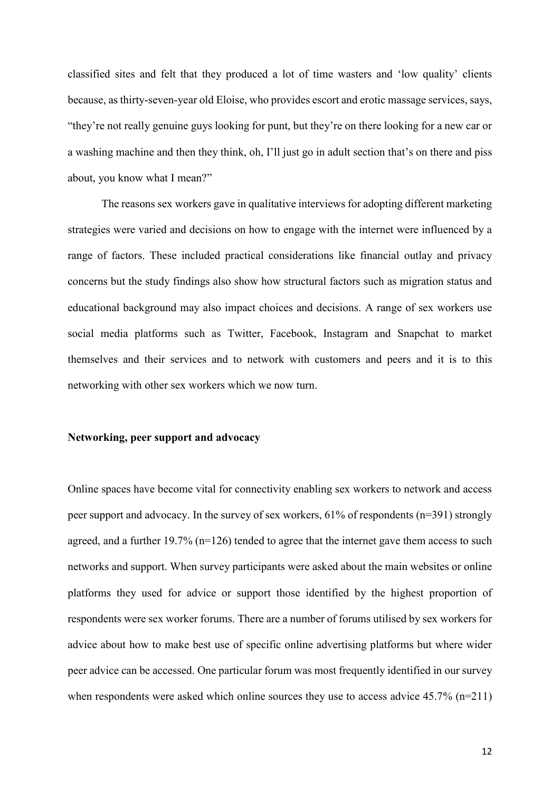classified sites and felt that they produced a lot of time wasters and 'low quality' clients because, as thirty-seven-year old Eloise, who provides escort and erotic massage services, says, "they're not really genuine guys looking for punt, but they're on there looking for a new car or a washing machine and then they think, oh, I'll just go in adult section that's on there and piss about, you know what I mean?"

The reasons sex workers gave in qualitative interviews for adopting different marketing strategies were varied and decisions on how to engage with the internet were influenced by a range of factors. These included practical considerations like financial outlay and privacy concerns but the study findings also show how structural factors such as migration status and educational background may also impact choices and decisions. A range of sex workers use social media platforms such as Twitter, Facebook, Instagram and Snapchat to market themselves and their services and to network with customers and peers and it is to this networking with other sex workers which we now turn.

### **Networking, peer support and advocacy**

Online spaces have become vital for connectivity enabling sex workers to network and access peer support and advocacy. In the survey of sex workers, 61% of respondents (n=391) strongly agreed, and a further 19.7% (n=126) tended to agree that the internet gave them access to such networks and support. When survey participants were asked about the main websites or online platforms they used for advice or support those identified by the highest proportion of respondents were sex worker forums. There are a number of forums utilised by sex workers for advice about how to make best use of specific online advertising platforms but where wider peer advice can be accessed. One particular forum was most frequently identified in our survey when respondents were asked which online sources they use to access advice 45.7% (n=211)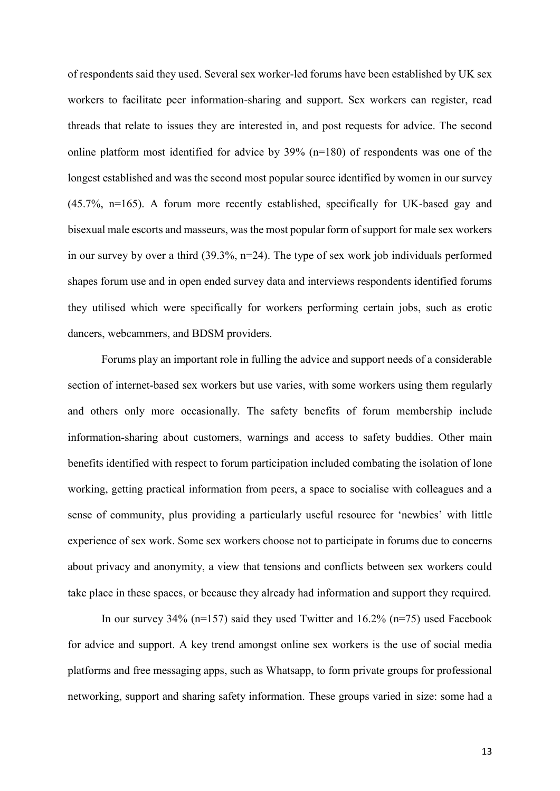of respondents said they used. Several sex worker-led forums have been established by UK sex workers to facilitate peer information-sharing and support. Sex workers can register, read threads that relate to issues they are interested in, and post requests for advice. The second online platform most identified for advice by 39% (n=180) of respondents was one of the longest established and was the second most popular source identified by women in our survey (45.7%, n=165). A forum more recently established, specifically for UK-based gay and bisexual male escorts and masseurs, was the most popular form of support for male sex workers in our survey by over a third (39.3%, n=24). The type of sex work job individuals performed shapes forum use and in open ended survey data and interviews respondents identified forums they utilised which were specifically for workers performing certain jobs, such as erotic dancers, webcammers, and BDSM providers.

Forums play an important role in fulling the advice and support needs of a considerable section of internet-based sex workers but use varies, with some workers using them regularly and others only more occasionally. The safety benefits of forum membership include information-sharing about customers, warnings and access to safety buddies. Other main benefits identified with respect to forum participation included combating the isolation of lone working, getting practical information from peers, a space to socialise with colleagues and a sense of community, plus providing a particularly useful resource for 'newbies' with little experience of sex work. Some sex workers choose not to participate in forums due to concerns about privacy and anonymity, a view that tensions and conflicts between sex workers could take place in these spaces, or because they already had information and support they required.

In our survey  $34\%$  (n=157) said they used Twitter and 16.2% (n=75) used Facebook for advice and support. A key trend amongst online sex workers is the use of social media platforms and free messaging apps, such as Whatsapp, to form private groups for professional networking, support and sharing safety information. These groups varied in size: some had a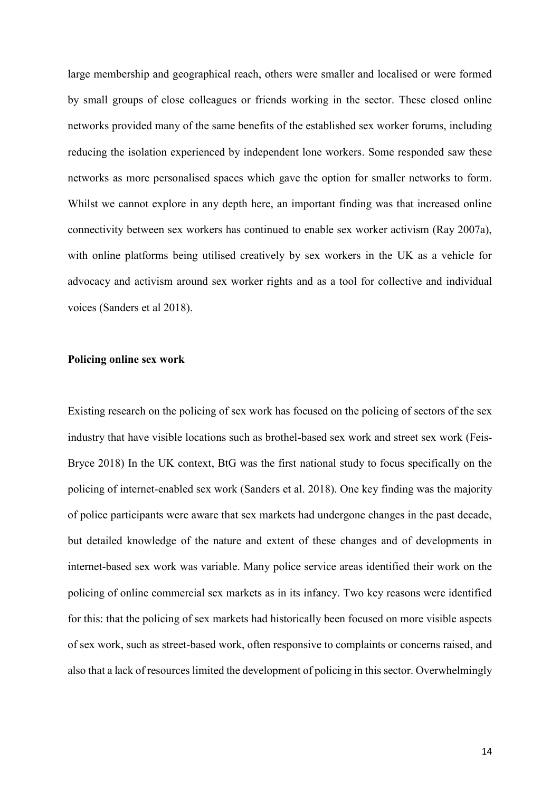large membership and geographical reach, others were smaller and localised or were formed by small groups of close colleagues or friends working in the sector. These closed online networks provided many of the same benefits of the established sex worker forums, including reducing the isolation experienced by independent lone workers. Some responded saw these networks as more personalised spaces which gave the option for smaller networks to form. Whilst we cannot explore in any depth here, an important finding was that increased online connectivity between sex workers has continued to enable sex worker activism (Ray 2007a), with online platforms being utilised creatively by sex workers in the UK as a vehicle for advocacy and activism around sex worker rights and as a tool for collective and individual voices (Sanders et al 2018).

## **Policing online sex work**

Existing research on the policing of sex work has focused on the policing of sectors of the sex industry that have visible locations such as brothel-based sex work and street sex work (Feis-Bryce 2018) In the UK context, BtG was the first national study to focus specifically on the policing of internet-enabled sex work (Sanders et al. 2018). One key finding was the majority of police participants were aware that sex markets had undergone changes in the past decade, but detailed knowledge of the nature and extent of these changes and of developments in internet-based sex work was variable. Many police service areas identified their work on the policing of online commercial sex markets as in its infancy. Two key reasons were identified for this: that the policing of sex markets had historically been focused on more visible aspects of sex work, such as street-based work, often responsive to complaints or concerns raised, and also that a lack of resources limited the development of policing in this sector. Overwhelmingly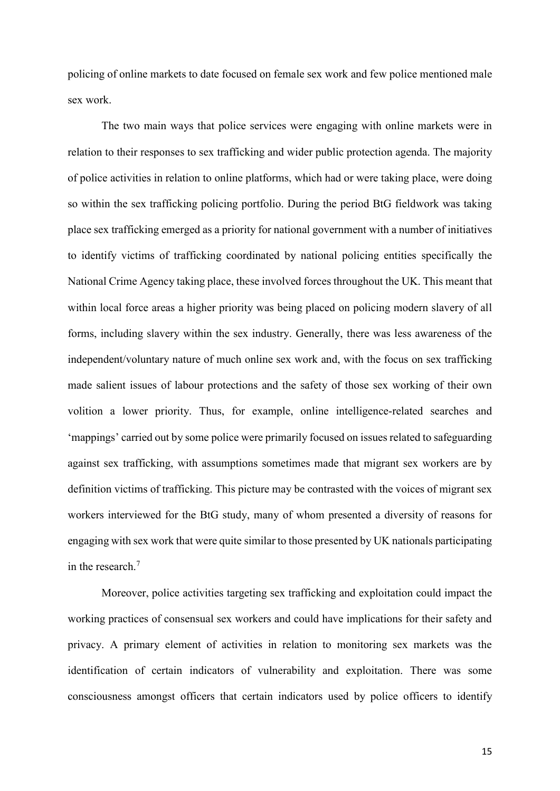policing of online markets to date focused on female sex work and few police mentioned male sex work.

The two main ways that police services were engaging with online markets were in relation to their responses to sex trafficking and wider public protection agenda. The majority of police activities in relation to online platforms, which had or were taking place, were doing so within the sex trafficking policing portfolio. During the period BtG fieldwork was taking place sex trafficking emerged as a priority for national government with a number of initiatives to identify victims of trafficking coordinated by national policing entities specifically the National Crime Agency taking place, these involved forces throughout the UK. This meant that within local force areas a higher priority was being placed on policing modern slavery of all forms, including slavery within the sex industry. Generally, there was less awareness of the independent/voluntary nature of much online sex work and, with the focus on sex trafficking made salient issues of labour protections and the safety of those sex working of their own volition a lower priority. Thus, for example, online intelligence-related searches and 'mappings' carried out by some police were primarily focused on issues related to safeguarding against sex trafficking, with assumptions sometimes made that migrant sex workers are by definition victims of trafficking. This picture may be contrasted with the voices of migrant sex workers interviewed for the BtG study, many of whom presented a diversity of reasons for engaging with sex work that were quite similar to those presented by UK nationals participating in the research.<sup>7</sup>

Moreover, police activities targeting sex trafficking and exploitation could impact the working practices of consensual sex workers and could have implications for their safety and privacy. A primary element of activities in relation to monitoring sex markets was the identification of certain indicators of vulnerability and exploitation. There was some consciousness amongst officers that certain indicators used by police officers to identify

15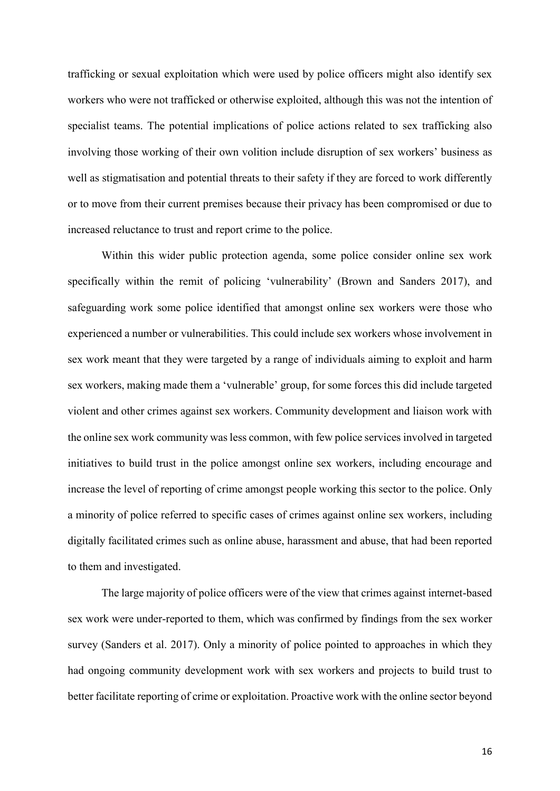trafficking or sexual exploitation which were used by police officers might also identify sex workers who were not trafficked or otherwise exploited, although this was not the intention of specialist teams. The potential implications of police actions related to sex trafficking also involving those working of their own volition include disruption of sex workers' business as well as stigmatisation and potential threats to their safety if they are forced to work differently or to move from their current premises because their privacy has been compromised or due to increased reluctance to trust and report crime to the police.

Within this wider public protection agenda, some police consider online sex work specifically within the remit of policing 'vulnerability' (Brown and Sanders 2017), and safeguarding work some police identified that amongst online sex workers were those who experienced a number or vulnerabilities. This could include sex workers whose involvement in sex work meant that they were targeted by a range of individuals aiming to exploit and harm sex workers, making made them a 'vulnerable' group, for some forces this did include targeted violent and other crimes against sex workers. Community development and liaison work with the online sex work community was less common, with few police services involved in targeted initiatives to build trust in the police amongst online sex workers, including encourage and increase the level of reporting of crime amongst people working this sector to the police. Only a minority of police referred to specific cases of crimes against online sex workers, including digitally facilitated crimes such as online abuse, harassment and abuse, that had been reported to them and investigated.

The large majority of police officers were of the view that crimes against internet-based sex work were under-reported to them, which was confirmed by findings from the sex worker survey (Sanders et al. 2017). Only a minority of police pointed to approaches in which they had ongoing community development work with sex workers and projects to build trust to better facilitate reporting of crime or exploitation. Proactive work with the online sector beyond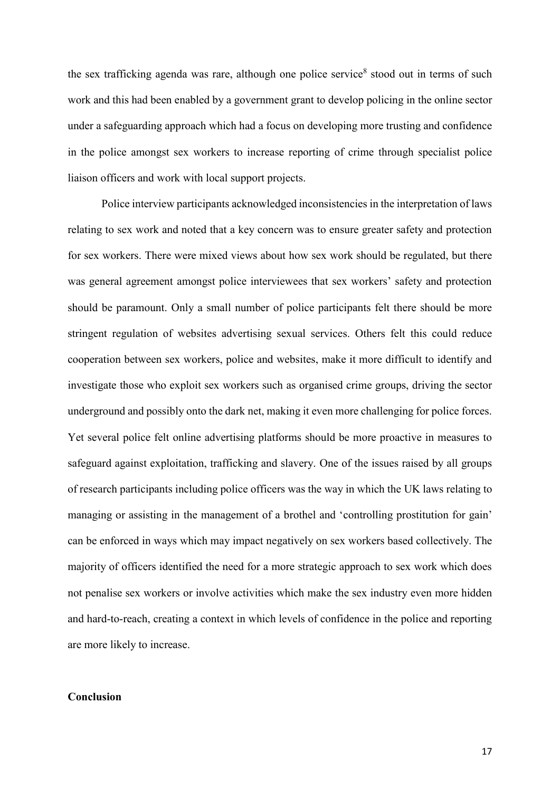the sex trafficking agenda was rare, although one police service<sup>8</sup> stood out in terms of such work and this had been enabled by a government grant to develop policing in the online sector under a safeguarding approach which had a focus on developing more trusting and confidence in the police amongst sex workers to increase reporting of crime through specialist police liaison officers and work with local support projects.

Police interview participants acknowledged inconsistencies in the interpretation of laws relating to sex work and noted that a key concern was to ensure greater safety and protection for sex workers. There were mixed views about how sex work should be regulated, but there was general agreement amongst police interviewees that sex workers' safety and protection should be paramount. Only a small number of police participants felt there should be more stringent regulation of websites advertising sexual services. Others felt this could reduce cooperation between sex workers, police and websites, make it more difficult to identify and investigate those who exploit sex workers such as organised crime groups, driving the sector underground and possibly onto the dark net, making it even more challenging for police forces. Yet several police felt online advertising platforms should be more proactive in measures to safeguard against exploitation, trafficking and slavery. One of the issues raised by all groups of research participants including police officers was the way in which the UK laws relating to managing or assisting in the management of a brothel and 'controlling prostitution for gain' can be enforced in ways which may impact negatively on sex workers based collectively. The majority of officers identified the need for a more strategic approach to sex work which does not penalise sex workers or involve activities which make the sex industry even more hidden and hard-to-reach, creating a context in which levels of confidence in the police and reporting are more likely to increase.

# **Conclusion**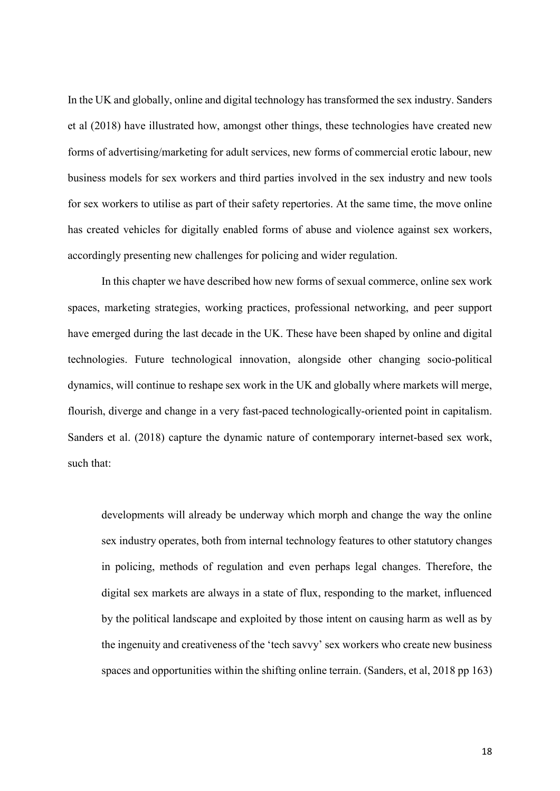In the UK and globally, online and digital technology has transformed the sex industry. Sanders et al (2018) have illustrated how, amongst other things, these technologies have created new forms of advertising/marketing for adult services, new forms of commercial erotic labour, new business models for sex workers and third parties involved in the sex industry and new tools for sex workers to utilise as part of their safety repertories. At the same time, the move online has created vehicles for digitally enabled forms of abuse and violence against sex workers, accordingly presenting new challenges for policing and wider regulation.

In this chapter we have described how new forms of sexual commerce, online sex work spaces, marketing strategies, working practices, professional networking, and peer support have emerged during the last decade in the UK. These have been shaped by online and digital technologies. Future technological innovation, alongside other changing socio-political dynamics, will continue to reshape sex work in the UK and globally where markets will merge, flourish, diverge and change in a very fast-paced technologically-oriented point in capitalism. Sanders et al. (2018) capture the dynamic nature of contemporary internet-based sex work, such that:

developments will already be underway which morph and change the way the online sex industry operates, both from internal technology features to other statutory changes in policing, methods of regulation and even perhaps legal changes. Therefore, the digital sex markets are always in a state of flux, responding to the market, influenced by the political landscape and exploited by those intent on causing harm as well as by the ingenuity and creativeness of the 'tech savvy' sex workers who create new business spaces and opportunities within the shifting online terrain. (Sanders, et al, 2018 pp 163)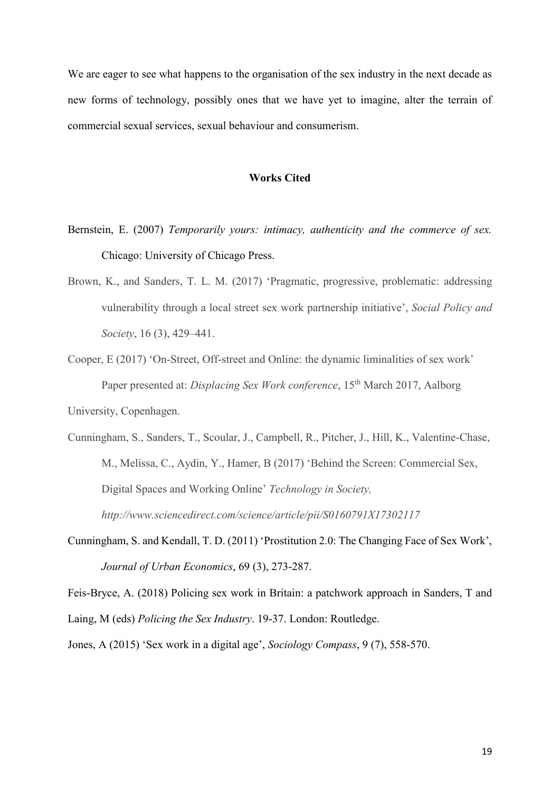We are eager to see what happens to the organisation of the sex industry in the next decade as new forms of technology, possibly ones that we have yet to imagine, alter the terrain of commercial sexual services, sexual behaviour and consumerism.

#### **Works Cited**

- Bernstein, E. (2007) *Temporarily yours: intimacy, authenticity and the commerce of sex.* Chicago: University of Chicago Press.
- Brown, K., and Sanders, T. L. M. (2017) 'Pragmatic, progressive, problematic: addressing vulnerability through a local street sex work partnership initiative', *Social Policy and Society*, 16 (3), 429–441.

Cooper, E (2017) 'On-Street, Off-street and Online: the dynamic liminalities of sex work' Paper presented at: *Displacing Sex Work conference*, 15<sup>th</sup> March 2017, Aalborg

University, Copenhagen.

Cunningham, S., Sanders, T., Scoular, J., Campbell, R., Pitcher, J., Hill, K., Valentine-Chase, M., Melissa, C., Aydin, Y., Hamer, B (2017) 'Behind the Screen: Commercial Sex, Digital Spaces and Working Online' *Technology in Society, http://www.sciencedirect.com/science/article/pii/S0160791X17302117*

Cunningham, S. and Kendall, T. D. (2011) 'Prostitution 2.0: The Changing Face of Sex Work', *Journal of Urban Economics*, 69 (3), 273-287.

Feis-Bryce, A. (2018) Policing sex work in Britain: a patchwork approach in Sanders, T and Laing, M (eds) *Policing the Sex Industry*. 19-37. London: Routledge.

Jones, A (2015) 'Sex work in a digital age', *Sociology Compass*, 9 (7), 558-570.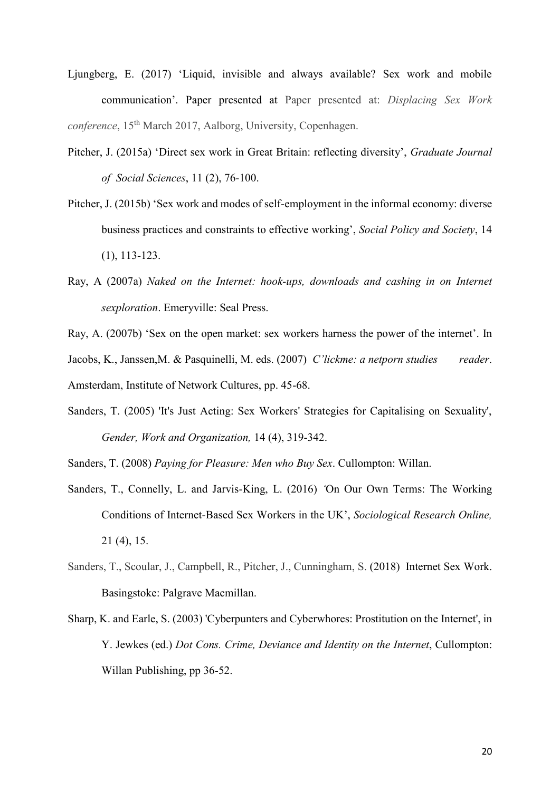- Ljungberg, E. (2017) 'Liquid, invisible and always available? Sex work and mobile communication'. Paper presented at Paper presented at: *Displacing Sex Work conference*, 15<sup>th</sup> March 2017, Aalborg, University, Copenhagen.
- Pitcher, J. (2015a) 'Direct sex work in Great Britain: reflecting diversity', *Graduate Journal of Social Sciences*, 11 (2), 76-100.
- Pitcher, J. (2015b) 'Sex work and modes of self-employment in the informal economy: diverse business practices and constraints to effective working', *Social Policy and Society*, 14 (1), 113-123.
- Ray, A (2007a) *Naked on the Internet: hook-ups, downloads and cashing in on Internet sexploration*. Emeryville: Seal Press.
- Ray, A. (2007b) 'Sex on the open market: sex workers harness the power of the internet'. In

Jacobs, K., Janssen,M. & Pasquinelli, M. eds. (2007) *C'lickme: a netporn studies reader*. Amsterdam, Institute of Network Cultures, pp. 45-68.

- Sanders, T. (2005) 'It's Just Acting: Sex Workers' Strategies for Capitalising on Sexuality', *Gender, Work and Organization,* 14 (4), 319-342.
- Sanders, T. (2008) *Paying for Pleasure: Men who Buy Sex*. Cullompton: Willan.
- Sanders, T., Connelly, L. and Jarvis-King, L. (2016) *'*On Our Own Terms: The Working Conditions of Internet-Based Sex Workers in the UK', *Sociological Research Online,* 21 (4), 15.
- Sanders, T., Scoular, J., Campbell, R., Pitcher, J., Cunningham, S. (2018) Internet Sex Work. Basingstoke: Palgrave Macmillan.
- Sharp, K. and Earle, S. (2003) 'Cyberpunters and Cyberwhores: Prostitution on the Internet', in Y. Jewkes (ed.) *Dot Cons. Crime, Deviance and Identity on the Internet*, Cullompton: Willan Publishing, pp 36-52.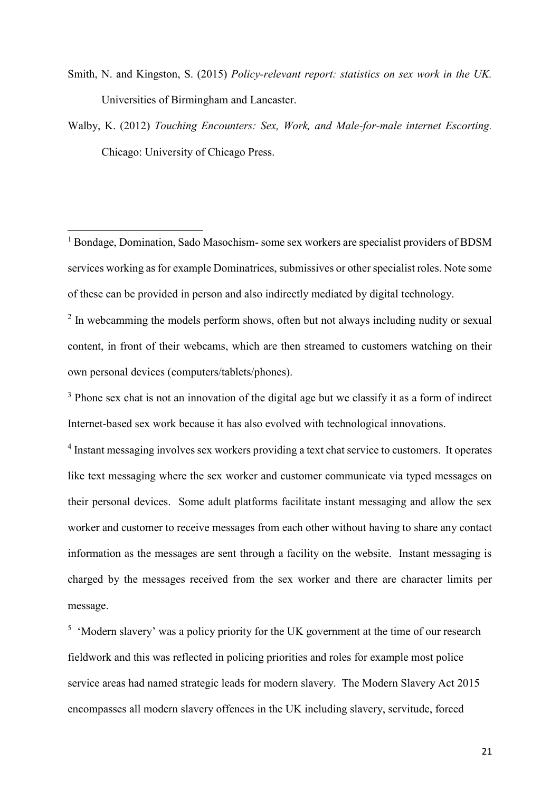- Smith, N. and Kingston, S. (2015) *Policy-relevant report: statistics on sex work in the UK.*  Universities of Birmingham and Lancaster.
- Walby, K. (2012) *Touching Encounters: Sex, Work, and Male-for-male internet Escorting.* Chicago: University of Chicago Press.

<sup>1</sup> Bondage, Domination, Sado Masochism-some sex workers are specialist providers of BDSM services working as for example Dominatrices, submissives or other specialist roles. Note some of these can be provided in person and also indirectly mediated by digital technology.

**.** 

 $2$  In webcamming the models perform shows, often but not always including nudity or sexual content, in front of their webcams, which are then streamed to customers watching on their own personal devices (computers/tablets/phones).

<sup>3</sup> Phone sex chat is not an innovation of the digital age but we classify it as a form of indirect Internet-based sex work because it has also evolved with technological innovations.

<sup>4</sup> Instant messaging involves sex workers providing a text chat service to customers. It operates like text messaging where the sex worker and customer communicate via typed messages on their personal devices. Some adult platforms facilitate instant messaging and allow the sex worker and customer to receive messages from each other without having to share any contact information as the messages are sent through a facility on the website. Instant messaging is charged by the messages received from the sex worker and there are character limits per message.

<sup>5</sup> 'Modern slavery' was a policy priority for the UK government at the time of our research fieldwork and this was reflected in policing priorities and roles for example most police service areas had named strategic leads for modern slavery. The Modern Slavery Act 2015 encompasses all modern slavery offences in the UK including slavery, servitude, forced

21